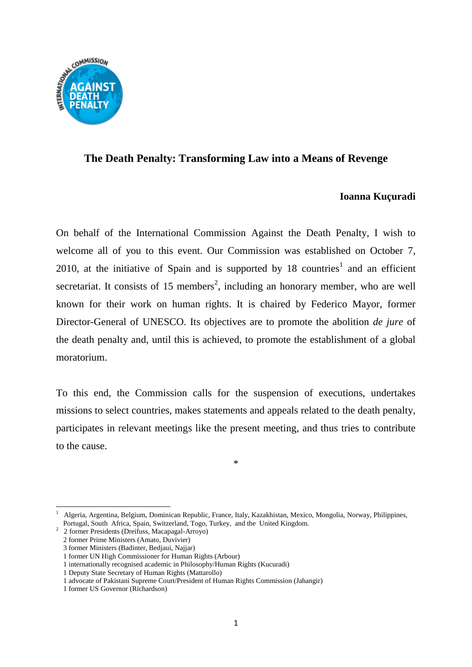

## **The Death Penalty: Transforming Law into a Means of Revenge**

## **Ioanna Kuçuradi**

On behalf of the International Commission Against the Death Penalty, I wish to welcome all of you to this event. Our Commission was established on October 7, 2010, at the initiative of Spain and is supported by 18 countries<sup>1</sup> and an efficient secretariat. It consists of 15 members<sup>2</sup>, including an honorary member, who are well known for their work on human rights. It is chaired by Federico Mayor, former Director-General of UNESCO. Its objectives are to promote the abolition *de jure* of the death penalty and, until this is achieved, to promote the establishment of a global moratorium.

To this end, the Commission calls for the suspension of executions, undertakes missions to select countries, makes statements and appeals related to the death penalty, participates in relevant meetings like the present meeting, and thus tries to contribute to the cause.

<sup>\*</sup>

<sup>1</sup> 1 Algeria, Argentina, Belgium, Dominican Republic, France, Italy, Kazakhistan, Mexico, Mongolia, Norway, Philippines, Portugal, South Africa, Spain, Switzerland, Togo, Turkey, and the United Kingdom.

<sup>2</sup> 2 former Presidents (Dreifuss, Macapagal-Arroyo)

 <sup>2</sup> former Prime Ministers (Amato, Duvivier)

 <sup>3</sup> former Ministers (Badinter, Bedjaui, Najjar)

 <sup>1</sup> former UN High Commissioner for Human Rights (Arbour)

 <sup>1</sup> internationally recognised academic in Philosophy/Human Rights (Kucuradi)

 <sup>1</sup> Deputy State Secretary of Human Rights (Mattarollo)

 <sup>1</sup> advocate of Pakistani Supreme Court/President of Human Rights Commission (Jahangir)

 <sup>1</sup> former US Governor (Richardson)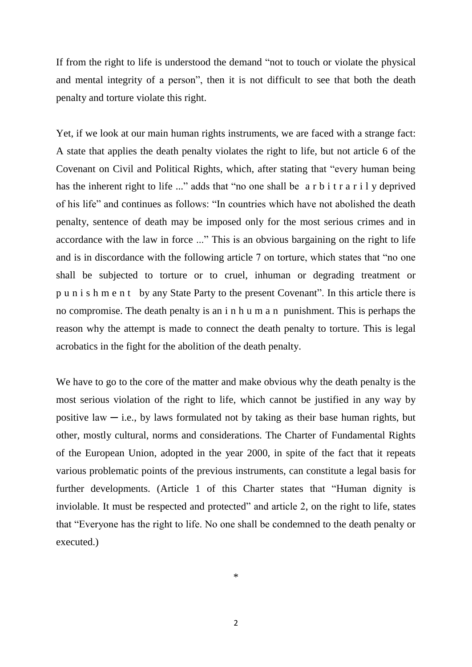If from the right to life is understood the demand "not to touch or violate the physical and mental integrity of a person", then it is not difficult to see that both the death penalty and torture violate this right.

Yet, if we look at our main human rights instruments, we are faced with a strange fact: A state that applies the death penalty violates the right to life, but not article 6 of the Covenant on Civil and Political Rights, which, after stating that "every human being has the inherent right to life ..." adds that "no one shall be a r b i t r a r i l y deprived of his life" and continues as follows: "In countries which have not abolished the death penalty, sentence of death may be imposed only for the most serious crimes and in accordance with the law in force ..." This is an obvious bargaining on the right to life and is in discordance with the following article 7 on torture, which states that "no one shall be subjected to torture or to cruel, inhuman or degrading treatment or p u n i s h m e n t by any State Party to the present Covenant". In this article there is no compromise. The death penalty is an i n h u m a n punishment. This is perhaps the reason why the attempt is made to connect the death penalty to torture. This is legal acrobatics in the fight for the abolition of the death penalty.

We have to go to the core of the matter and make obvious why the death penalty is the most serious violation of the right to life, which cannot be justified in any way by positive law  $-$  i.e., by laws formulated not by taking as their base human rights, but other, mostly cultural, norms and considerations. The Charter of Fundamental Rights of the European Union, adopted in the year 2000, in spite of the fact that it repeats various problematic points of the previous instruments, can constitute a legal basis for further developments. (Article 1 of this Charter states that "Human dignity is inviolable. It must be respected and protected" and article 2, on the right to life, states that "Everyone has the right to life. No one shall be condemned to the death penalty or executed.)

\*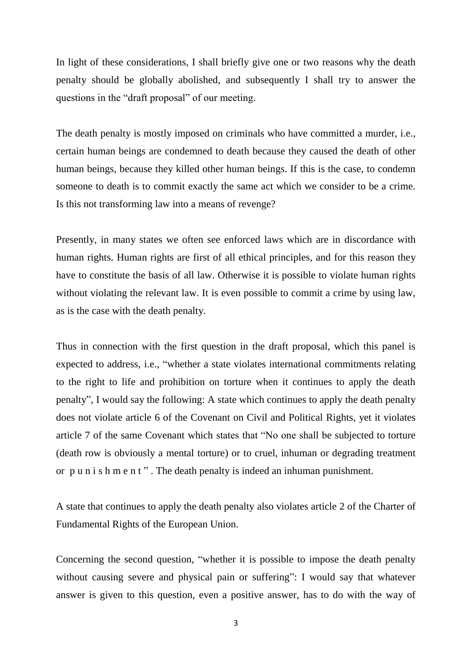In light of these considerations, I shall briefly give one or two reasons why the death penalty should be globally abolished, and subsequently I shall try to answer the questions in the "draft proposal" of our meeting.

The death penalty is mostly imposed on criminals who have committed a murder, i.e., certain human beings are condemned to death because they caused the death of other human beings, because they killed other human beings. If this is the case, to condemn someone to death is to commit exactly the same act which we consider to be a crime. Is this not transforming law into a means of revenge?

Presently, in many states we often see enforced laws which are in discordance with human rights. Human rights are first of all ethical principles, and for this reason they have to constitute the basis of all law. Otherwise it is possible to violate human rights without violating the relevant law. It is even possible to commit a crime by using law, as is the case with the death penalty.

Thus in connection with the first question in the draft proposal, which this panel is expected to address, i.e., "whether a state violates international commitments relating to the right to life and prohibition on torture when it continues to apply the death penalty", I would say the following: A state which continues to apply the death penalty does not violate article 6 of the Covenant on Civil and Political Rights, yet it violates article 7 of the same Covenant which states that "No one shall be subjected to torture (death row is obviously a mental torture) or to cruel, inhuman or degrading treatment or p u n i s h m e n t " . The death penalty is indeed an inhuman punishment.

A state that continues to apply the death penalty also violates article 2 of the Charter of Fundamental Rights of the European Union.

Concerning the second question, "whether it is possible to impose the death penalty without causing severe and physical pain or suffering": I would say that whatever answer is given to this question, even a positive answer, has to do with the way of